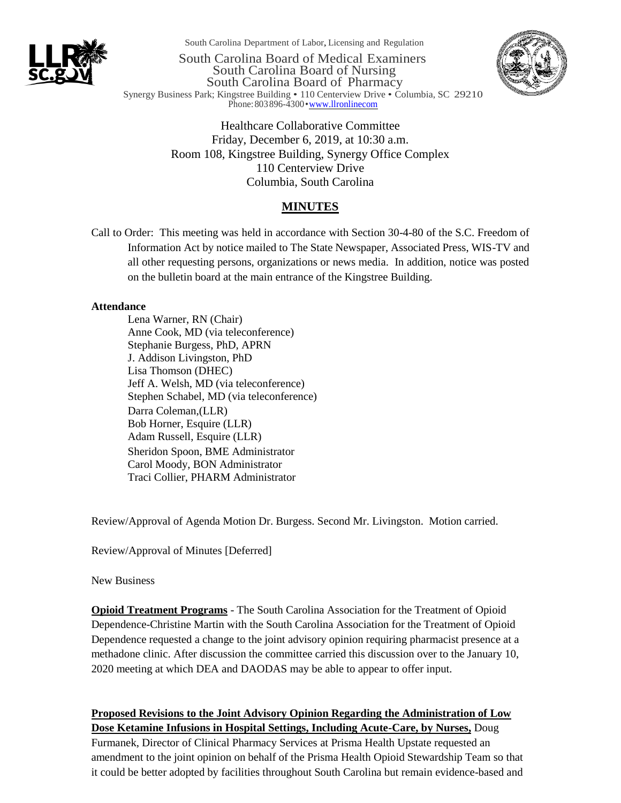

South Carolina Department of Labor,Licensing and Regulation

South Carolina Board of Medical Examiners South Carolina Board of Nursing South Carolina Board of Pharmacy Synergy Business Park; Kingstree Building • 110 Centerview Drive • Columbia, SC 29210 Phone: 803 896-4300 • www.llronlinecom



Healthcare Collaborative Committee Friday, December 6, 2019, at 10:30 a.m. Room 108, Kingstree Building, Synergy Office Complex 110 Centerview Drive Columbia, South Carolina

## **MINUTES**

Call to Order: This meeting was held in accordance with Section 30-4-80 of the S.C. Freedom of Information Act by notice mailed to The State Newspaper, Associated Press, WIS-TV and all other requesting persons, organizations or news media. In addition, notice was posted on the bulletin board at the main entrance of the Kingstree Building.

## **Attendance**

Lena Warner, RN (Chair) Anne Cook, MD (via teleconference) Stephanie Burgess, PhD, APRN J. Addison Livingston, PhD Lisa Thomson (DHEC) Jeff A. Welsh, MD (via teleconference) Stephen Schabel, MD (via teleconference) Darra Coleman,(LLR) Bob Horner, Esquire (LLR) Adam Russell, Esquire (LLR) Sheridon Spoon, BME Administrator Carol Moody, BON Administrator Traci Collier, PHARM Administrator

Review/Approval of Agenda Motion Dr. Burgess. Second Mr. Livingston. Motion carried.

Review/Approval of Minutes [Deferred]

New Business

**Opioid Treatment Programs** - The South Carolina Association for the Treatment of Opioid Dependence-Christine Martin with the South Carolina Association for the Treatment of Opioid Dependence requested a change to the joint advisory opinion requiring pharmacist presence at a methadone clinic. After discussion the committee carried this discussion over to the January 10, 2020 meeting at which DEA and DAODAS may be able to appear to offer input.

**Proposed Revisions to the Joint Advisory Opinion Regarding the Administration of Low Dose Ketamine Infusions in Hospital Settings, Including Acute-Care, by Nurses,** Doug Furmanek, Director of Clinical Pharmacy Services at Prisma Health Upstate requested an amendment to the joint opinion on behalf of the Prisma Health Opioid Stewardship Team so that it could be better adopted by facilities throughout South Carolina but remain evidence-based and